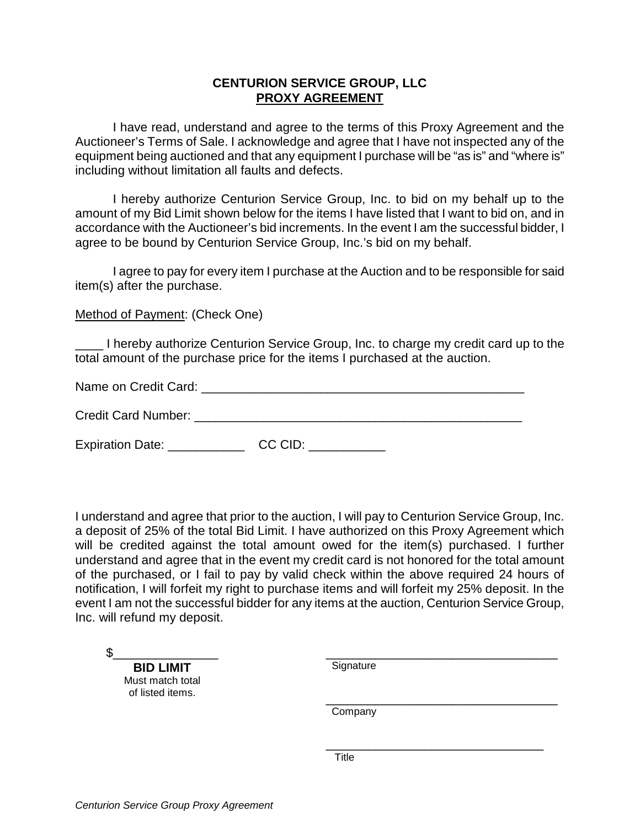## **CENTURION SERVICE GROUP, LLC PROXY AGREEMENT**

I have read, understand and agree to the terms of this Proxy Agreement and the Auctioneer's Terms of Sale. I acknowledge and agree that I have not inspected any of the equipment being auctioned and that any equipment I purchase will be "as is" and "where is" including without limitation all faults and defects.

I hereby authorize Centurion Service Group, Inc. to bid on my behalf up to the amount of my Bid Limit shown below for the items I have listed that I want to bid on, and in accordance with the Auctioneer's bid increments. In the event I am the successful bidder, I agree to be bound by Centurion Service Group, Inc.'s bid on my behalf.

I agree to pay for every item I purchase at the Auction and to be responsible for said item(s) after the purchase.

Method of Payment: (Check One)

\_\_\_\_ I hereby authorize Centurion Service Group, Inc. to charge my credit card up to the total amount of the purchase price for the items I purchased at the auction.

| Name on Credit Card:       |  |
|----------------------------|--|
|                            |  |
| <b>Credit Card Number:</b> |  |

Expiration Date: CC CID:

I understand and agree that prior to the auction, I will pay to Centurion Service Group, Inc. a deposit of 25% of the total Bid Limit. I have authorized on this Proxy Agreement which will be credited against the total amount owed for the item(s) purchased. I further understand and agree that in the event my credit card is not honored for the total amount of the purchased, or I fail to pay by valid check within the above required 24 hours of notification, I will forfeit my right to purchase items and will forfeit my 25% deposit. In the event I am not the successful bidder for any items at the auction, Centurion Service Group, Inc. will refund my deposit.

\$\_\_\_\_\_\_\_\_\_\_\_\_\_\_\_

**BID LIMIT**  Must match total of listed items.

 $\overline{\phantom{a}}$  ,  $\overline{\phantom{a}}$  ,  $\overline{\phantom{a}}$  ,  $\overline{\phantom{a}}$  ,  $\overline{\phantom{a}}$  ,  $\overline{\phantom{a}}$  ,  $\overline{\phantom{a}}$  ,  $\overline{\phantom{a}}$  ,  $\overline{\phantom{a}}$  ,  $\overline{\phantom{a}}$  ,  $\overline{\phantom{a}}$  ,  $\overline{\phantom{a}}$  ,  $\overline{\phantom{a}}$  ,  $\overline{\phantom{a}}$  ,  $\overline{\phantom{a}}$  ,  $\overline{\phantom{a}}$ Signature

Company

\_\_\_\_\_\_\_\_\_\_\_\_\_\_\_\_\_\_\_\_\_\_\_\_\_\_\_\_\_\_\_\_\_

\_\_\_\_\_\_\_\_\_\_\_\_\_\_\_\_\_\_\_\_\_\_\_\_\_\_\_\_\_\_\_

Title